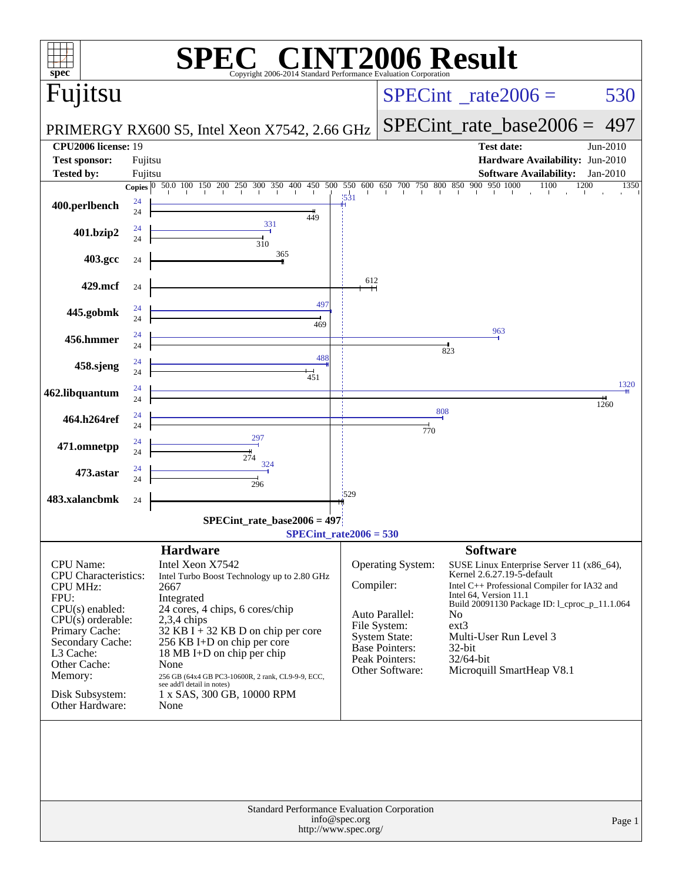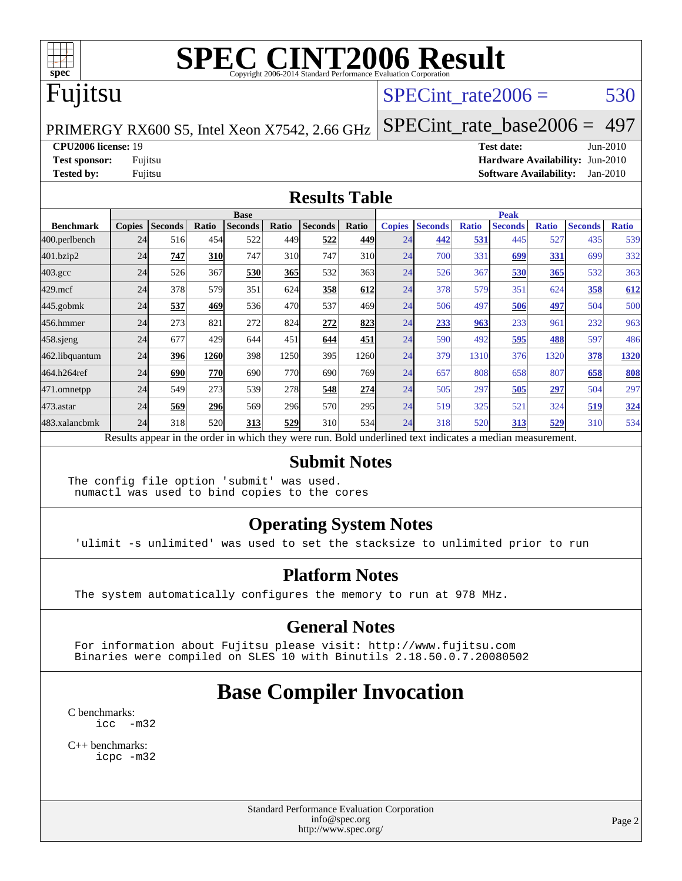

## Fujitsu

#### SPECint rate $2006 = 530$

PRIMERGY RX600 S5, Intel Xeon X7542, 2.66 GHz

[SPECint\\_rate\\_base2006 =](http://www.spec.org/auto/cpu2006/Docs/result-fields.html#SPECintratebase2006) 497

**[CPU2006 license:](http://www.spec.org/auto/cpu2006/Docs/result-fields.html#CPU2006license)** 19 **[Test date:](http://www.spec.org/auto/cpu2006/Docs/result-fields.html#Testdate)** Jun-2010

**[Test sponsor:](http://www.spec.org/auto/cpu2006/Docs/result-fields.html#Testsponsor)** Fujitsu **[Hardware Availability:](http://www.spec.org/auto/cpu2006/Docs/result-fields.html#HardwareAvailability)** Jun-2010 **[Tested by:](http://www.spec.org/auto/cpu2006/Docs/result-fields.html#Testedby)** Fujitsu **[Software Availability:](http://www.spec.org/auto/cpu2006/Docs/result-fields.html#SoftwareAvailability)** Jan-2010

#### **[Results Table](http://www.spec.org/auto/cpu2006/Docs/result-fields.html#ResultsTable)**

|                    | <b>Base</b>   |         |            |                |            |                                                                                                          |       | <b>Peak</b>   |                |              |                |              |                |              |
|--------------------|---------------|---------|------------|----------------|------------|----------------------------------------------------------------------------------------------------------|-------|---------------|----------------|--------------|----------------|--------------|----------------|--------------|
| <b>Benchmark</b>   | <b>Copies</b> | Seconds | Ratio      | <b>Seconds</b> | Ratio      | <b>Seconds</b>                                                                                           | Ratio | <b>Copies</b> | <b>Seconds</b> | <b>Ratio</b> | <b>Seconds</b> | <b>Ratio</b> | <b>Seconds</b> | <b>Ratio</b> |
| $ 400$ .perlbench  | 24            | 516     | 454        | 522            | 449        | 522                                                                                                      | 449   | 24            | 442            | 531          | 445            | 527          | 435            | 539          |
| 401.bzip2          | 24            | 747     | <b>310</b> | 747            | 310        | 747                                                                                                      | 310   | 24            | 700            | 331          | 699            | 331          | 699            | 332          |
| $403.\mathrm{gcc}$ | 24            | 526     | 367        | 530            | 365        | 532                                                                                                      | 363   | 24            | 526            | 367          | 530            | 365          | 532            | 363          |
| $429$ .mcf         | 24            | 378     | 579        | 351            | 624        | 358                                                                                                      | 612   | 24            | 378            | 579          | 351            | 624          | 358            | 612          |
| $445$ .gobmk       | 24            | 537     | 469        | 536            | 470        | 537                                                                                                      | 469   | 24            | 506            | 497          | 506            | 497          | 504            | 500          |
| 456.hmmer          | 24            | 273     | 821        | 272            | 824        | 272                                                                                                      | 823   | 24            | 233            | 963          | 233            | 961          | 232            | 963          |
| $458$ .sjeng       | 24            | 677     | 429        | 644            | 451        | 644                                                                                                      | 451   | 24            | 590            | 492          | 595            | 488          | 597            | 486          |
| 462.libquantum     | 24            | 396     | 1260       | 398            | 1250       | 395                                                                                                      | 1260  | 24            | 379            | 1310         | 376            | 1320         | 378            | <u>1320</u>  |
| 464.h264ref        | 24            | 690     | 770        | 690            | <b>770</b> | 690                                                                                                      | 769I  | 24            | 657            | 808          | 658            | 807          | 658            | 808          |
| 471.omnetpp        | 24            | 549     | 273        | 539            | <b>278</b> | 548                                                                                                      | 274   | 24            | 505            | 297          | 505            | 297          | 504            | 297          |
| $473$ . astar      | 24            | 569     | <b>296</b> | 569            | 296        | 570                                                                                                      | 295   | 24            | 519            | 325          | 521            | 324          | 519            | 324          |
| 483.xalancbmk      | 24            | 318     | 520        | 313            | 529        | 310                                                                                                      | 534   | 24            | 318            | 520          | 313            | 529          | 310            | 534          |
|                    |               |         |            |                |            | Results appear in the order in which they were run. Bold underlined text indicates a median measurement. |       |               |                |              |                |              |                |              |

#### **[Submit Notes](http://www.spec.org/auto/cpu2006/Docs/result-fields.html#SubmitNotes)**

The config file option 'submit' was used. numactl was used to bind copies to the cores

#### **[Operating System Notes](http://www.spec.org/auto/cpu2006/Docs/result-fields.html#OperatingSystemNotes)**

'ulimit -s unlimited' was used to set the stacksize to unlimited prior to run

#### **[Platform Notes](http://www.spec.org/auto/cpu2006/Docs/result-fields.html#PlatformNotes)**

The system automatically configures the memory to run at 978 MHz.

#### **[General Notes](http://www.spec.org/auto/cpu2006/Docs/result-fields.html#GeneralNotes)**

 For information about Fujitsu please visit: <http://www.fujitsu.com> Binaries were compiled on SLES 10 with Binutils 2.18.50.0.7.20080502

## **[Base Compiler Invocation](http://www.spec.org/auto/cpu2006/Docs/result-fields.html#BaseCompilerInvocation)**

[C benchmarks](http://www.spec.org/auto/cpu2006/Docs/result-fields.html#Cbenchmarks): [icc -m32](http://www.spec.org/cpu2006/results/res2010q3/cpu2006-20100702-12072.flags.html#user_CCbase_intel_icc_32bit_5ff4a39e364c98233615fdd38438c6f2)

[C++ benchmarks:](http://www.spec.org/auto/cpu2006/Docs/result-fields.html#CXXbenchmarks) [icpc -m32](http://www.spec.org/cpu2006/results/res2010q3/cpu2006-20100702-12072.flags.html#user_CXXbase_intel_icpc_32bit_4e5a5ef1a53fd332b3c49e69c3330699)

> Standard Performance Evaluation Corporation [info@spec.org](mailto:info@spec.org) <http://www.spec.org/>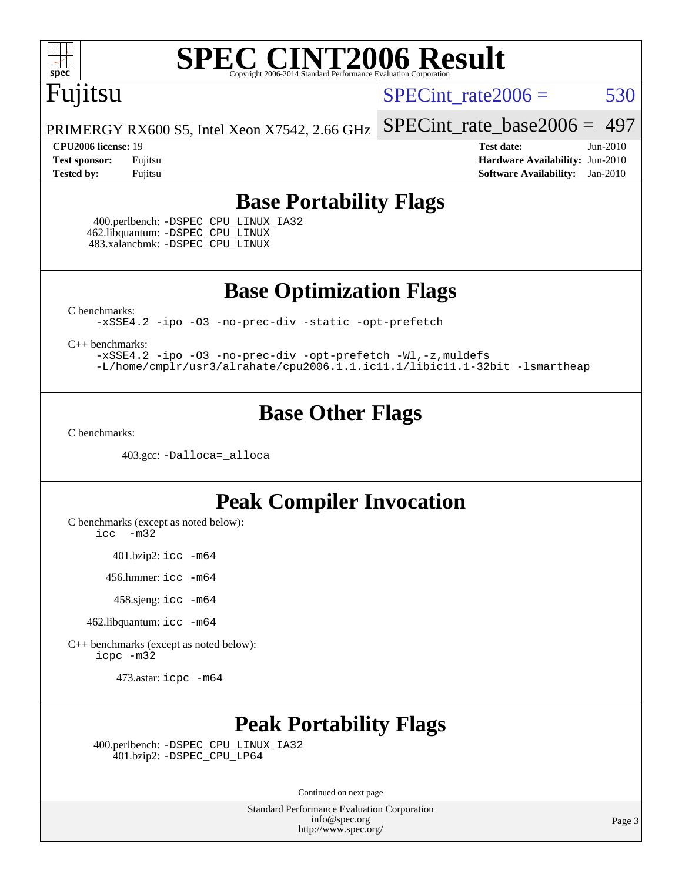

## Fujitsu

SPECint rate $2006 = 530$ 

[SPECint\\_rate\\_base2006 =](http://www.spec.org/auto/cpu2006/Docs/result-fields.html#SPECintratebase2006) 497

PRIMERGY RX600 S5, Intel Xeon X7542, 2.66 GHz

**[CPU2006 license:](http://www.spec.org/auto/cpu2006/Docs/result-fields.html#CPU2006license)** 19 **[Test date:](http://www.spec.org/auto/cpu2006/Docs/result-fields.html#Testdate)** Jun-2010 **[Test sponsor:](http://www.spec.org/auto/cpu2006/Docs/result-fields.html#Testsponsor)** Fujitsu **[Hardware Availability:](http://www.spec.org/auto/cpu2006/Docs/result-fields.html#HardwareAvailability)** Jun-2010 **[Tested by:](http://www.spec.org/auto/cpu2006/Docs/result-fields.html#Testedby)** Fujitsu **[Software Availability:](http://www.spec.org/auto/cpu2006/Docs/result-fields.html#SoftwareAvailability)** Jan-2010

#### **[Base Portability Flags](http://www.spec.org/auto/cpu2006/Docs/result-fields.html#BasePortabilityFlags)**

 400.perlbench: [-DSPEC\\_CPU\\_LINUX\\_IA32](http://www.spec.org/cpu2006/results/res2010q3/cpu2006-20100702-12072.flags.html#b400.perlbench_baseCPORTABILITY_DSPEC_CPU_LINUX_IA32) 462.libquantum: [-DSPEC\\_CPU\\_LINUX](http://www.spec.org/cpu2006/results/res2010q3/cpu2006-20100702-12072.flags.html#b462.libquantum_baseCPORTABILITY_DSPEC_CPU_LINUX) 483.xalancbmk: [-DSPEC\\_CPU\\_LINUX](http://www.spec.org/cpu2006/results/res2010q3/cpu2006-20100702-12072.flags.html#b483.xalancbmk_baseCXXPORTABILITY_DSPEC_CPU_LINUX)

**[Base Optimization Flags](http://www.spec.org/auto/cpu2006/Docs/result-fields.html#BaseOptimizationFlags)**

[C benchmarks](http://www.spec.org/auto/cpu2006/Docs/result-fields.html#Cbenchmarks):

[-xSSE4.2](http://www.spec.org/cpu2006/results/res2010q3/cpu2006-20100702-12072.flags.html#user_CCbase_f-xSSE42_f91528193cf0b216347adb8b939d4107) [-ipo](http://www.spec.org/cpu2006/results/res2010q3/cpu2006-20100702-12072.flags.html#user_CCbase_f-ipo) [-O3](http://www.spec.org/cpu2006/results/res2010q3/cpu2006-20100702-12072.flags.html#user_CCbase_f-O3) [-no-prec-div](http://www.spec.org/cpu2006/results/res2010q3/cpu2006-20100702-12072.flags.html#user_CCbase_f-no-prec-div) [-static](http://www.spec.org/cpu2006/results/res2010q3/cpu2006-20100702-12072.flags.html#user_CCbase_f-static) [-opt-prefetch](http://www.spec.org/cpu2006/results/res2010q3/cpu2006-20100702-12072.flags.html#user_CCbase_f-opt-prefetch)

[C++ benchmarks:](http://www.spec.org/auto/cpu2006/Docs/result-fields.html#CXXbenchmarks)

[-xSSE4.2](http://www.spec.org/cpu2006/results/res2010q3/cpu2006-20100702-12072.flags.html#user_CXXbase_f-xSSE42_f91528193cf0b216347adb8b939d4107) [-ipo](http://www.spec.org/cpu2006/results/res2010q3/cpu2006-20100702-12072.flags.html#user_CXXbase_f-ipo) [-O3](http://www.spec.org/cpu2006/results/res2010q3/cpu2006-20100702-12072.flags.html#user_CXXbase_f-O3) [-no-prec-div](http://www.spec.org/cpu2006/results/res2010q3/cpu2006-20100702-12072.flags.html#user_CXXbase_f-no-prec-div) [-opt-prefetch](http://www.spec.org/cpu2006/results/res2010q3/cpu2006-20100702-12072.flags.html#user_CXXbase_f-opt-prefetch) [-Wl,-z,muldefs](http://www.spec.org/cpu2006/results/res2010q3/cpu2006-20100702-12072.flags.html#user_CXXbase_link_force_multiple1_74079c344b956b9658436fd1b6dd3a8a) [-L/home/cmplr/usr3/alrahate/cpu2006.1.1.ic11.1/libic11.1-32bit -lsmartheap](http://www.spec.org/cpu2006/results/res2010q3/cpu2006-20100702-12072.flags.html#user_CXXbase_SmartHeap_d86dffe4a79b79ef8890d5cce17030c3)

#### **[Base Other Flags](http://www.spec.org/auto/cpu2006/Docs/result-fields.html#BaseOtherFlags)**

[C benchmarks](http://www.spec.org/auto/cpu2006/Docs/result-fields.html#Cbenchmarks):

403.gcc: [-Dalloca=\\_alloca](http://www.spec.org/cpu2006/results/res2010q3/cpu2006-20100702-12072.flags.html#b403.gcc_baseEXTRA_CFLAGS_Dalloca_be3056838c12de2578596ca5467af7f3)

#### **[Peak Compiler Invocation](http://www.spec.org/auto/cpu2006/Docs/result-fields.html#PeakCompilerInvocation)**

[C benchmarks \(except as noted below\)](http://www.spec.org/auto/cpu2006/Docs/result-fields.html#Cbenchmarksexceptasnotedbelow):

[icc -m32](http://www.spec.org/cpu2006/results/res2010q3/cpu2006-20100702-12072.flags.html#user_CCpeak_intel_icc_32bit_5ff4a39e364c98233615fdd38438c6f2)

401.bzip2: [icc -m64](http://www.spec.org/cpu2006/results/res2010q3/cpu2006-20100702-12072.flags.html#user_peakCCLD401_bzip2_intel_icc_64bit_bda6cc9af1fdbb0edc3795bac97ada53)

456.hmmer: [icc -m64](http://www.spec.org/cpu2006/results/res2010q3/cpu2006-20100702-12072.flags.html#user_peakCCLD456_hmmer_intel_icc_64bit_bda6cc9af1fdbb0edc3795bac97ada53)

458.sjeng: [icc -m64](http://www.spec.org/cpu2006/results/res2010q3/cpu2006-20100702-12072.flags.html#user_peakCCLD458_sjeng_intel_icc_64bit_bda6cc9af1fdbb0edc3795bac97ada53)

462.libquantum: [icc -m64](http://www.spec.org/cpu2006/results/res2010q3/cpu2006-20100702-12072.flags.html#user_peakCCLD462_libquantum_intel_icc_64bit_bda6cc9af1fdbb0edc3795bac97ada53)

[C++ benchmarks \(except as noted below\):](http://www.spec.org/auto/cpu2006/Docs/result-fields.html#CXXbenchmarksexceptasnotedbelow) [icpc -m32](http://www.spec.org/cpu2006/results/res2010q3/cpu2006-20100702-12072.flags.html#user_CXXpeak_intel_icpc_32bit_4e5a5ef1a53fd332b3c49e69c3330699)

473.astar: [icpc -m64](http://www.spec.org/cpu2006/results/res2010q3/cpu2006-20100702-12072.flags.html#user_peakCXXLD473_astar_intel_icpc_64bit_fc66a5337ce925472a5c54ad6a0de310)

#### **[Peak Portability Flags](http://www.spec.org/auto/cpu2006/Docs/result-fields.html#PeakPortabilityFlags)**

 400.perlbench: [-DSPEC\\_CPU\\_LINUX\\_IA32](http://www.spec.org/cpu2006/results/res2010q3/cpu2006-20100702-12072.flags.html#b400.perlbench_peakCPORTABILITY_DSPEC_CPU_LINUX_IA32) 401.bzip2: [-DSPEC\\_CPU\\_LP64](http://www.spec.org/cpu2006/results/res2010q3/cpu2006-20100702-12072.flags.html#suite_peakCPORTABILITY401_bzip2_DSPEC_CPU_LP64)

Continued on next page

Standard Performance Evaluation Corporation [info@spec.org](mailto:info@spec.org) <http://www.spec.org/>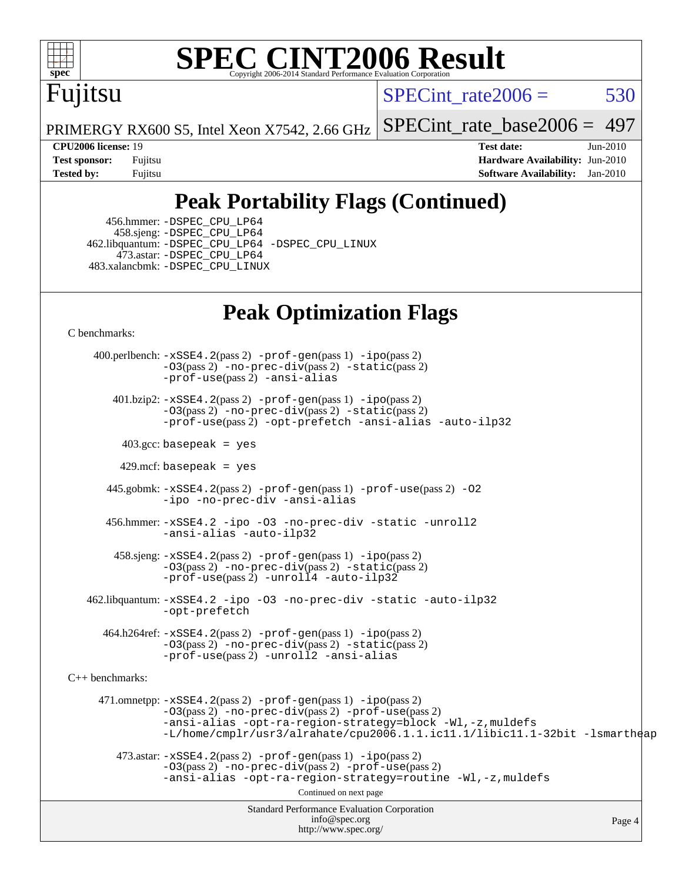

# Fujitsu

SPECint rate $2006 = 530$ 

PRIMERGY RX600 S5, Intel Xeon X7542, 2.66 GHz

[SPECint\\_rate\\_base2006 =](http://www.spec.org/auto/cpu2006/Docs/result-fields.html#SPECintratebase2006) 497

**[CPU2006 license:](http://www.spec.org/auto/cpu2006/Docs/result-fields.html#CPU2006license)** 19 **[Test date:](http://www.spec.org/auto/cpu2006/Docs/result-fields.html#Testdate)** Jun-2010 **[Test sponsor:](http://www.spec.org/auto/cpu2006/Docs/result-fields.html#Testsponsor)** Fujitsu **[Hardware Availability:](http://www.spec.org/auto/cpu2006/Docs/result-fields.html#HardwareAvailability)** Jun-2010 **[Tested by:](http://www.spec.org/auto/cpu2006/Docs/result-fields.html#Testedby)** Fujitsu **[Software Availability:](http://www.spec.org/auto/cpu2006/Docs/result-fields.html#SoftwareAvailability)** Jan-2010

### **[Peak Portability Flags \(Continued\)](http://www.spec.org/auto/cpu2006/Docs/result-fields.html#PeakPortabilityFlags)**

 456.hmmer: [-DSPEC\\_CPU\\_LP64](http://www.spec.org/cpu2006/results/res2010q3/cpu2006-20100702-12072.flags.html#suite_peakCPORTABILITY456_hmmer_DSPEC_CPU_LP64) 458.sjeng: [-DSPEC\\_CPU\\_LP64](http://www.spec.org/cpu2006/results/res2010q3/cpu2006-20100702-12072.flags.html#suite_peakCPORTABILITY458_sjeng_DSPEC_CPU_LP64) 462.libquantum: [-DSPEC\\_CPU\\_LP64](http://www.spec.org/cpu2006/results/res2010q3/cpu2006-20100702-12072.flags.html#suite_peakCPORTABILITY462_libquantum_DSPEC_CPU_LP64) [-DSPEC\\_CPU\\_LINUX](http://www.spec.org/cpu2006/results/res2010q3/cpu2006-20100702-12072.flags.html#b462.libquantum_peakCPORTABILITY_DSPEC_CPU_LINUX) 473.astar: [-DSPEC\\_CPU\\_LP64](http://www.spec.org/cpu2006/results/res2010q3/cpu2006-20100702-12072.flags.html#suite_peakCXXPORTABILITY473_astar_DSPEC_CPU_LP64) 483.xalancbmk: [-DSPEC\\_CPU\\_LINUX](http://www.spec.org/cpu2006/results/res2010q3/cpu2006-20100702-12072.flags.html#b483.xalancbmk_peakCXXPORTABILITY_DSPEC_CPU_LINUX)

### **[Peak Optimization Flags](http://www.spec.org/auto/cpu2006/Docs/result-fields.html#PeakOptimizationFlags)**

[C benchmarks](http://www.spec.org/auto/cpu2006/Docs/result-fields.html#Cbenchmarks):

Standard Performance Evaluation Corporation [info@spec.org](mailto:info@spec.org) <http://www.spec.org/> Page 4 400.perlbench: [-xSSE4.2](http://www.spec.org/cpu2006/results/res2010q3/cpu2006-20100702-12072.flags.html#user_peakPASS2_CFLAGSPASS2_LDCFLAGS400_perlbench_f-xSSE42_f91528193cf0b216347adb8b939d4107)(pass 2) [-prof-gen](http://www.spec.org/cpu2006/results/res2010q3/cpu2006-20100702-12072.flags.html#user_peakPASS1_CFLAGSPASS1_LDCFLAGS400_perlbench_prof_gen_e43856698f6ca7b7e442dfd80e94a8fc)(pass 1) [-ipo](http://www.spec.org/cpu2006/results/res2010q3/cpu2006-20100702-12072.flags.html#user_peakPASS2_CFLAGSPASS2_LDCFLAGS400_perlbench_f-ipo)(pass 2)  $-03$ (pass 2)  $-$ no-prec-div(pass 2)  $-$ static(pass 2) [-prof-use](http://www.spec.org/cpu2006/results/res2010q3/cpu2006-20100702-12072.flags.html#user_peakPASS2_CFLAGSPASS2_LDCFLAGS400_perlbench_prof_use_bccf7792157ff70d64e32fe3e1250b55)(pass 2) [-ansi-alias](http://www.spec.org/cpu2006/results/res2010q3/cpu2006-20100702-12072.flags.html#user_peakCOPTIMIZE400_perlbench_f-ansi-alias) 401.bzip2: [-xSSE4.2](http://www.spec.org/cpu2006/results/res2010q3/cpu2006-20100702-12072.flags.html#user_peakPASS2_CFLAGSPASS2_LDCFLAGS401_bzip2_f-xSSE42_f91528193cf0b216347adb8b939d4107)(pass 2) [-prof-gen](http://www.spec.org/cpu2006/results/res2010q3/cpu2006-20100702-12072.flags.html#user_peakPASS1_CFLAGSPASS1_LDCFLAGS401_bzip2_prof_gen_e43856698f6ca7b7e442dfd80e94a8fc)(pass 1) [-ipo](http://www.spec.org/cpu2006/results/res2010q3/cpu2006-20100702-12072.flags.html#user_peakPASS2_CFLAGSPASS2_LDCFLAGS401_bzip2_f-ipo)(pass 2) [-O3](http://www.spec.org/cpu2006/results/res2010q3/cpu2006-20100702-12072.flags.html#user_peakPASS2_CFLAGSPASS2_LDCFLAGS401_bzip2_f-O3)(pass 2) [-no-prec-div](http://www.spec.org/cpu2006/results/res2010q3/cpu2006-20100702-12072.flags.html#user_peakPASS2_CFLAGSPASS2_LDCFLAGS401_bzip2_f-no-prec-div)(pass 2) [-static](http://www.spec.org/cpu2006/results/res2010q3/cpu2006-20100702-12072.flags.html#user_peakPASS2_CFLAGSPASS2_LDCFLAGS401_bzip2_f-static)(pass 2) [-prof-use](http://www.spec.org/cpu2006/results/res2010q3/cpu2006-20100702-12072.flags.html#user_peakPASS2_CFLAGSPASS2_LDCFLAGS401_bzip2_prof_use_bccf7792157ff70d64e32fe3e1250b55)(pass 2) [-opt-prefetch](http://www.spec.org/cpu2006/results/res2010q3/cpu2006-20100702-12072.flags.html#user_peakCOPTIMIZE401_bzip2_f-opt-prefetch) [-ansi-alias](http://www.spec.org/cpu2006/results/res2010q3/cpu2006-20100702-12072.flags.html#user_peakCOPTIMIZE401_bzip2_f-ansi-alias) [-auto-ilp32](http://www.spec.org/cpu2006/results/res2010q3/cpu2006-20100702-12072.flags.html#user_peakCOPTIMIZE401_bzip2_f-auto-ilp32)  $403.\text{gcc: basepeak}$  = yes  $429$ .mcf: basepeak = yes 445.gobmk: [-xSSE4.2](http://www.spec.org/cpu2006/results/res2010q3/cpu2006-20100702-12072.flags.html#user_peakPASS2_CFLAGSPASS2_LDCFLAGS445_gobmk_f-xSSE42_f91528193cf0b216347adb8b939d4107)(pass 2) [-prof-gen](http://www.spec.org/cpu2006/results/res2010q3/cpu2006-20100702-12072.flags.html#user_peakPASS1_CFLAGSPASS1_LDCFLAGS445_gobmk_prof_gen_e43856698f6ca7b7e442dfd80e94a8fc)(pass 1) [-prof-use](http://www.spec.org/cpu2006/results/res2010q3/cpu2006-20100702-12072.flags.html#user_peakPASS2_CFLAGSPASS2_LDCFLAGS445_gobmk_prof_use_bccf7792157ff70d64e32fe3e1250b55)(pass 2) [-O2](http://www.spec.org/cpu2006/results/res2010q3/cpu2006-20100702-12072.flags.html#user_peakCOPTIMIZE445_gobmk_f-O2) [-ipo](http://www.spec.org/cpu2006/results/res2010q3/cpu2006-20100702-12072.flags.html#user_peakCOPTIMIZE445_gobmk_f-ipo) [-no-prec-div](http://www.spec.org/cpu2006/results/res2010q3/cpu2006-20100702-12072.flags.html#user_peakCOPTIMIZE445_gobmk_f-no-prec-div) [-ansi-alias](http://www.spec.org/cpu2006/results/res2010q3/cpu2006-20100702-12072.flags.html#user_peakCOPTIMIZE445_gobmk_f-ansi-alias) 456.hmmer: [-xSSE4.2](http://www.spec.org/cpu2006/results/res2010q3/cpu2006-20100702-12072.flags.html#user_peakCOPTIMIZE456_hmmer_f-xSSE42_f91528193cf0b216347adb8b939d4107) [-ipo](http://www.spec.org/cpu2006/results/res2010q3/cpu2006-20100702-12072.flags.html#user_peakCOPTIMIZE456_hmmer_f-ipo) [-O3](http://www.spec.org/cpu2006/results/res2010q3/cpu2006-20100702-12072.flags.html#user_peakCOPTIMIZE456_hmmer_f-O3) [-no-prec-div](http://www.spec.org/cpu2006/results/res2010q3/cpu2006-20100702-12072.flags.html#user_peakCOPTIMIZE456_hmmer_f-no-prec-div) [-static](http://www.spec.org/cpu2006/results/res2010q3/cpu2006-20100702-12072.flags.html#user_peakCOPTIMIZE456_hmmer_f-static) [-unroll2](http://www.spec.org/cpu2006/results/res2010q3/cpu2006-20100702-12072.flags.html#user_peakCOPTIMIZE456_hmmer_f-unroll_784dae83bebfb236979b41d2422d7ec2) [-ansi-alias](http://www.spec.org/cpu2006/results/res2010q3/cpu2006-20100702-12072.flags.html#user_peakCOPTIMIZE456_hmmer_f-ansi-alias) [-auto-ilp32](http://www.spec.org/cpu2006/results/res2010q3/cpu2006-20100702-12072.flags.html#user_peakCOPTIMIZE456_hmmer_f-auto-ilp32) 458.sjeng: [-xSSE4.2](http://www.spec.org/cpu2006/results/res2010q3/cpu2006-20100702-12072.flags.html#user_peakPASS2_CFLAGSPASS2_LDCFLAGS458_sjeng_f-xSSE42_f91528193cf0b216347adb8b939d4107)(pass 2) [-prof-gen](http://www.spec.org/cpu2006/results/res2010q3/cpu2006-20100702-12072.flags.html#user_peakPASS1_CFLAGSPASS1_LDCFLAGS458_sjeng_prof_gen_e43856698f6ca7b7e442dfd80e94a8fc)(pass 1) [-ipo](http://www.spec.org/cpu2006/results/res2010q3/cpu2006-20100702-12072.flags.html#user_peakPASS2_CFLAGSPASS2_LDCFLAGS458_sjeng_f-ipo)(pass 2) [-O3](http://www.spec.org/cpu2006/results/res2010q3/cpu2006-20100702-12072.flags.html#user_peakPASS2_CFLAGSPASS2_LDCFLAGS458_sjeng_f-O3)(pass 2) [-no-prec-div](http://www.spec.org/cpu2006/results/res2010q3/cpu2006-20100702-12072.flags.html#user_peakPASS2_CFLAGSPASS2_LDCFLAGS458_sjeng_f-no-prec-div)(pass 2) [-static](http://www.spec.org/cpu2006/results/res2010q3/cpu2006-20100702-12072.flags.html#user_peakPASS2_CFLAGSPASS2_LDCFLAGS458_sjeng_f-static)(pass 2) [-prof-use](http://www.spec.org/cpu2006/results/res2010q3/cpu2006-20100702-12072.flags.html#user_peakPASS2_CFLAGSPASS2_LDCFLAGS458_sjeng_prof_use_bccf7792157ff70d64e32fe3e1250b55)(pass 2) [-unroll4](http://www.spec.org/cpu2006/results/res2010q3/cpu2006-20100702-12072.flags.html#user_peakCOPTIMIZE458_sjeng_f-unroll_4e5e4ed65b7fd20bdcd365bec371b81f) [-auto-ilp32](http://www.spec.org/cpu2006/results/res2010q3/cpu2006-20100702-12072.flags.html#user_peakCOPTIMIZE458_sjeng_f-auto-ilp32) 462.libquantum: [-xSSE4.2](http://www.spec.org/cpu2006/results/res2010q3/cpu2006-20100702-12072.flags.html#user_peakCOPTIMIZE462_libquantum_f-xSSE42_f91528193cf0b216347adb8b939d4107) [-ipo](http://www.spec.org/cpu2006/results/res2010q3/cpu2006-20100702-12072.flags.html#user_peakCOPTIMIZE462_libquantum_f-ipo) [-O3](http://www.spec.org/cpu2006/results/res2010q3/cpu2006-20100702-12072.flags.html#user_peakCOPTIMIZE462_libquantum_f-O3) [-no-prec-div](http://www.spec.org/cpu2006/results/res2010q3/cpu2006-20100702-12072.flags.html#user_peakCOPTIMIZE462_libquantum_f-no-prec-div) [-static](http://www.spec.org/cpu2006/results/res2010q3/cpu2006-20100702-12072.flags.html#user_peakCOPTIMIZE462_libquantum_f-static) [-auto-ilp32](http://www.spec.org/cpu2006/results/res2010q3/cpu2006-20100702-12072.flags.html#user_peakCOPTIMIZE462_libquantum_f-auto-ilp32) [-opt-prefetch](http://www.spec.org/cpu2006/results/res2010q3/cpu2006-20100702-12072.flags.html#user_peakCOPTIMIZE462_libquantum_f-opt-prefetch) 464.h264ref: [-xSSE4.2](http://www.spec.org/cpu2006/results/res2010q3/cpu2006-20100702-12072.flags.html#user_peakPASS2_CFLAGSPASS2_LDCFLAGS464_h264ref_f-xSSE42_f91528193cf0b216347adb8b939d4107)(pass 2) [-prof-gen](http://www.spec.org/cpu2006/results/res2010q3/cpu2006-20100702-12072.flags.html#user_peakPASS1_CFLAGSPASS1_LDCFLAGS464_h264ref_prof_gen_e43856698f6ca7b7e442dfd80e94a8fc)(pass 1) [-ipo](http://www.spec.org/cpu2006/results/res2010q3/cpu2006-20100702-12072.flags.html#user_peakPASS2_CFLAGSPASS2_LDCFLAGS464_h264ref_f-ipo)(pass 2) [-O3](http://www.spec.org/cpu2006/results/res2010q3/cpu2006-20100702-12072.flags.html#user_peakPASS2_CFLAGSPASS2_LDCFLAGS464_h264ref_f-O3)(pass 2) [-no-prec-div](http://www.spec.org/cpu2006/results/res2010q3/cpu2006-20100702-12072.flags.html#user_peakPASS2_CFLAGSPASS2_LDCFLAGS464_h264ref_f-no-prec-div)(pass 2) [-static](http://www.spec.org/cpu2006/results/res2010q3/cpu2006-20100702-12072.flags.html#user_peakPASS2_CFLAGSPASS2_LDCFLAGS464_h264ref_f-static)(pass 2) [-prof-use](http://www.spec.org/cpu2006/results/res2010q3/cpu2006-20100702-12072.flags.html#user_peakPASS2_CFLAGSPASS2_LDCFLAGS464_h264ref_prof_use_bccf7792157ff70d64e32fe3e1250b55)(pass 2) [-unroll2](http://www.spec.org/cpu2006/results/res2010q3/cpu2006-20100702-12072.flags.html#user_peakCOPTIMIZE464_h264ref_f-unroll_784dae83bebfb236979b41d2422d7ec2) [-ansi-alias](http://www.spec.org/cpu2006/results/res2010q3/cpu2006-20100702-12072.flags.html#user_peakCOPTIMIZE464_h264ref_f-ansi-alias) [C++ benchmarks:](http://www.spec.org/auto/cpu2006/Docs/result-fields.html#CXXbenchmarks) 471.omnetpp: [-xSSE4.2](http://www.spec.org/cpu2006/results/res2010q3/cpu2006-20100702-12072.flags.html#user_peakPASS2_CXXFLAGSPASS2_LDCXXFLAGS471_omnetpp_f-xSSE42_f91528193cf0b216347adb8b939d4107)(pass 2) [-prof-gen](http://www.spec.org/cpu2006/results/res2010q3/cpu2006-20100702-12072.flags.html#user_peakPASS1_CXXFLAGSPASS1_LDCXXFLAGS471_omnetpp_prof_gen_e43856698f6ca7b7e442dfd80e94a8fc)(pass 1) [-ipo](http://www.spec.org/cpu2006/results/res2010q3/cpu2006-20100702-12072.flags.html#user_peakPASS2_CXXFLAGSPASS2_LDCXXFLAGS471_omnetpp_f-ipo)(pass 2) [-O3](http://www.spec.org/cpu2006/results/res2010q3/cpu2006-20100702-12072.flags.html#user_peakPASS2_CXXFLAGSPASS2_LDCXXFLAGS471_omnetpp_f-O3)(pass 2) [-no-prec-div](http://www.spec.org/cpu2006/results/res2010q3/cpu2006-20100702-12072.flags.html#user_peakPASS2_CXXFLAGSPASS2_LDCXXFLAGS471_omnetpp_f-no-prec-div)(pass 2) [-prof-use](http://www.spec.org/cpu2006/results/res2010q3/cpu2006-20100702-12072.flags.html#user_peakPASS2_CXXFLAGSPASS2_LDCXXFLAGS471_omnetpp_prof_use_bccf7792157ff70d64e32fe3e1250b55)(pass 2) [-ansi-alias](http://www.spec.org/cpu2006/results/res2010q3/cpu2006-20100702-12072.flags.html#user_peakCXXOPTIMIZE471_omnetpp_f-ansi-alias) [-opt-ra-region-strategy=block](http://www.spec.org/cpu2006/results/res2010q3/cpu2006-20100702-12072.flags.html#user_peakCXXOPTIMIZE471_omnetpp_f-opt-ra-region-strategy-block_a0a37c372d03933b2a18d4af463c1f69) [-Wl,-z,muldefs](http://www.spec.org/cpu2006/results/res2010q3/cpu2006-20100702-12072.flags.html#user_peakEXTRA_LDFLAGS471_omnetpp_link_force_multiple1_74079c344b956b9658436fd1b6dd3a8a) [-L/home/cmplr/usr3/alrahate/cpu2006.1.1.ic11.1/libic11.1-32bit -lsmartheap](http://www.spec.org/cpu2006/results/res2010q3/cpu2006-20100702-12072.flags.html#user_peakEXTRA_LIBS471_omnetpp_SmartHeap_d86dffe4a79b79ef8890d5cce17030c3)  $473.\text{astar: } -xSSE4$ .  $2(\text{pass 2})$   $-\text{prof-gen}(\text{pass 1})$   $-i\text{po}(\text{pass 2})$ [-O3](http://www.spec.org/cpu2006/results/res2010q3/cpu2006-20100702-12072.flags.html#user_peakPASS2_CXXFLAGSPASS2_LDCXXFLAGS473_astar_f-O3)(pass 2) [-no-prec-div](http://www.spec.org/cpu2006/results/res2010q3/cpu2006-20100702-12072.flags.html#user_peakPASS2_CXXFLAGSPASS2_LDCXXFLAGS473_astar_f-no-prec-div)(pass 2) [-prof-use](http://www.spec.org/cpu2006/results/res2010q3/cpu2006-20100702-12072.flags.html#user_peakPASS2_CXXFLAGSPASS2_LDCXXFLAGS473_astar_prof_use_bccf7792157ff70d64e32fe3e1250b55)(pass 2) [-ansi-alias](http://www.spec.org/cpu2006/results/res2010q3/cpu2006-20100702-12072.flags.html#user_peakCXXOPTIMIZE473_astar_f-ansi-alias) [-opt-ra-region-strategy=routine](http://www.spec.org/cpu2006/results/res2010q3/cpu2006-20100702-12072.flags.html#user_peakCXXOPTIMIZE473_astar_f-opt-ra-region-strategy-routine_ba086ea3b1d46a52e1238e2ca173ed44) [-Wl,-z,muldefs](http://www.spec.org/cpu2006/results/res2010q3/cpu2006-20100702-12072.flags.html#user_peakEXTRA_LDFLAGS473_astar_link_force_multiple1_74079c344b956b9658436fd1b6dd3a8a) Continued on next page